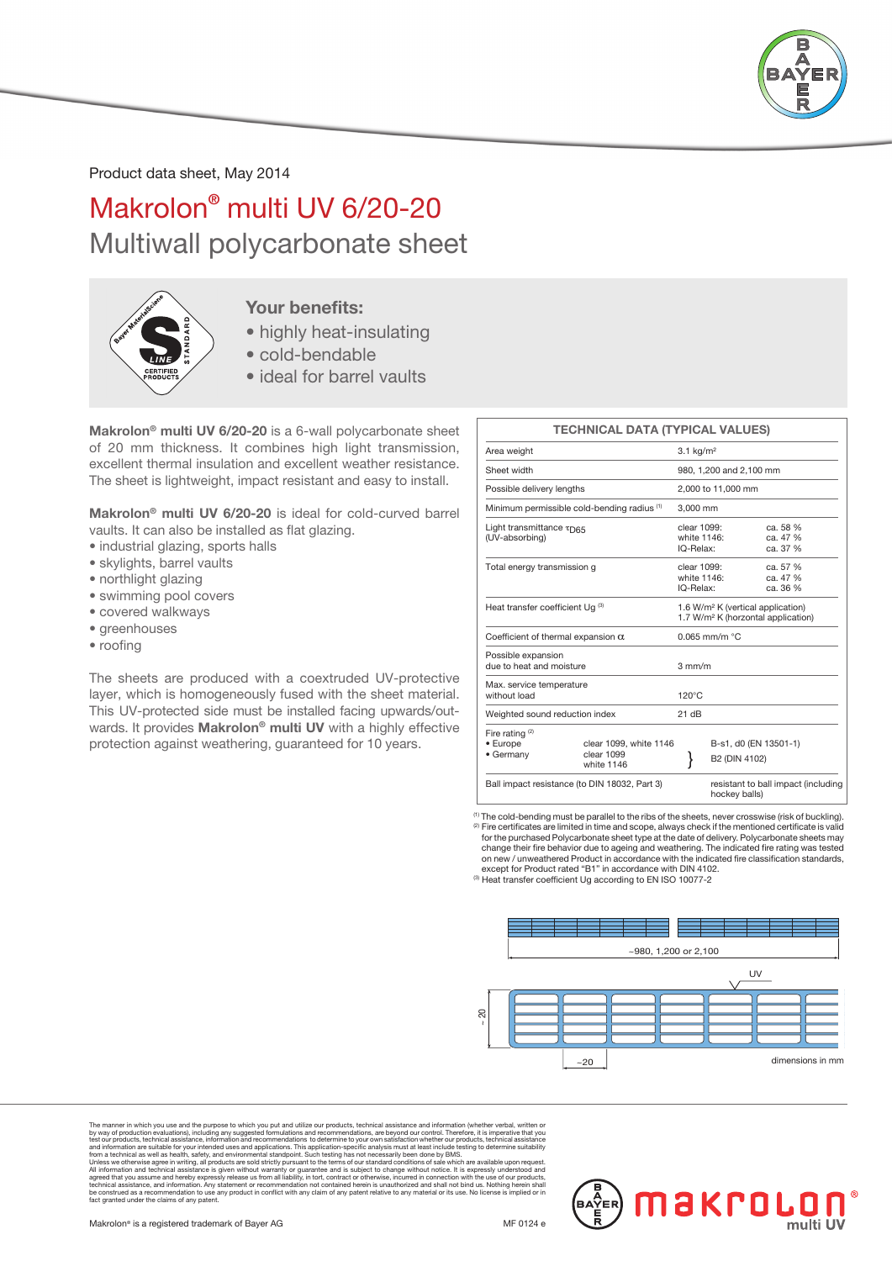

Product data sheet, May 2014

# Makrolon® multi UV 6/20-20 Multiwall polycarbonate sheet



### Your benefits:

- highly heat-insulating
- cold-bendable
- ideal for barrel vaults

Makrolon® multi UV 6/20-20 is a 6-wall polycarbonate sheet of 20 mm thickness. It combines high light transmission, excellent thermal insulation and excellent weather resistance. The sheet is lightweight, impact resistant and easy to install.

Makrolon® multi UV 6/20-20 is ideal for cold-curved barrel vaults. It can also be installed as flat glazing.

- industrial glazing, sports halls
- skylights, barrel vaults
- northlight glazing
- swimming pool covers
- covered walkways
- greenhouses
- roofing

The sheets are produced with a coextruded UV-protective layer, which is homogeneously fused with the sheet material. This UV-protected side must be installed facing upwards/outwards. It provides Makrolon® multi UV with a highly effective protection against weathering, guaranteed for 10 years.

### TECHNICAL DATA (TYPICAL VALUES) Area weight 3.1 kg/m<sup>2</sup> Sheet width 980, 1,200 and 2,100 mm

| Sheet width                                    |                                                                                                     |                                         | 980, 1,200 and 2,100 mm                                                                         |  |  |  |  |
|------------------------------------------------|-----------------------------------------------------------------------------------------------------|-----------------------------------------|-------------------------------------------------------------------------------------------------|--|--|--|--|
| Possible delivery lengths                      |                                                                                                     |                                         | 2,000 to 11,000 mm                                                                              |  |  |  |  |
|                                                | Minimum permissible cold-bending radius (1)                                                         | 3.000 mm                                |                                                                                                 |  |  |  |  |
| Light transmittance TD65<br>(UV-absorbing)     |                                                                                                     | clear 1099:<br>white 1146:<br>IQ-Relax: | ca. 58 %<br>ca. 47 %<br>ca. 37 %                                                                |  |  |  |  |
| Total energy transmission g                    |                                                                                                     |                                         | clear 1099:<br>ca. 57 %<br>white 1146:<br>ca. 47 %<br>IQ-Relax:<br>ca. 36 %                     |  |  |  |  |
| Heat transfer coefficient Ug (3)               |                                                                                                     |                                         | 1.6 W/m <sup>2</sup> K (vertical application)<br>1.7 W/m <sup>2</sup> K (horzontal application) |  |  |  |  |
| Coefficient of thermal expansion $\alpha$      |                                                                                                     |                                         | $0.065$ mm/m $°C$                                                                               |  |  |  |  |
| Possible expansion<br>due to heat and moisture |                                                                                                     | $3 \text{ mm/m}$                        |                                                                                                 |  |  |  |  |
| Max. service temperature<br>without load       |                                                                                                     | $120^{\circ}$ C                         |                                                                                                 |  |  |  |  |
| Weighted sound reduction index                 |                                                                                                     | 21 dB                                   |                                                                                                 |  |  |  |  |
| Fire rating $(2)$<br>• Europe<br>• Germany     | clear 1099, white 1146<br>clear 1099<br>white 1146<br>Ball impact resistance (to DIN 18032, Part 3) |                                         | B-s1, d0 (EN 13501-1)<br>B2 (DIN 4102)<br>resistant to ball impact (including<br>hockey balls)  |  |  |  |  |

(1) The cold-bending must be parallel to the ribs of the sheets, never crosswise (risk of buckling). (2) Fire certificates are limited in time and scope, always check if the mentioned certificate is valid for the purchased Polycarbonate sheet type at the date of delivery. Polycarbonate sheets may change their fire behavior due to ageing and weathering. The indicated fire rating was tested on new / unweathered Product in accordance with the indicated fire classification standards, except for Product rated "B1" in accordance with DIN 4102. (3) Heat transfer coefficient Ug according to EN ISO 10077-2



The manner in which you use and the purpose to which you put and utilize our products, technical assistance and information (whether verbal, witten or<br>by way of production evaluations), including any suggested formulations The manner in which you use and the purpose to which you put and utilize our production, technical assistance and information evaluations, including any suggested formulations and recommendations, are beyond our control. T